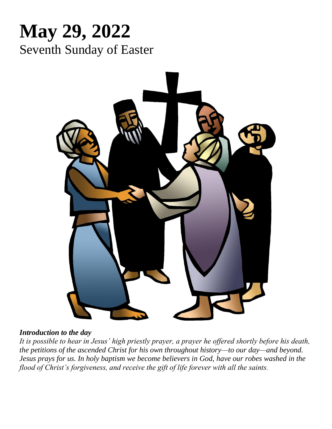# **May 29, 2022** Seventh Sunday of Easter



## *Introduction to the day*

*It is possible to hear in Jesus' high priestly prayer, a prayer he offered shortly before his death, the petitions of the ascended Christ for his own throughout history—to our day—and beyond. Jesus prays for us. In holy baptism we become believers in God, have our robes washed in the flood of Christ's forgiveness, and receive the gift of life forever with all the saints.*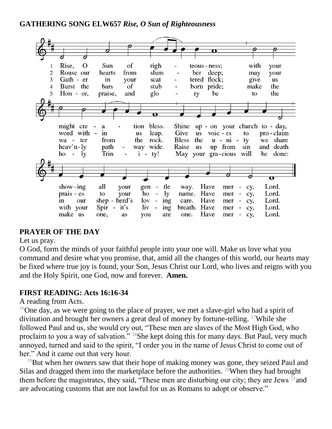## **GATHERING SONG ELW657** *Rise, O Sun of Righteousness*



# **PRAYER OF THE DAY**

#### Let us pray.

O God, form the minds of your faithful people into your one will. Make us love what you command and desire what you promise, that, amid all the changes of this world, our hearts may be fixed where true joy is found, your Son, Jesus Christ our Lord, who lives and reigns with you and the Holy Spirit, one God, now and forever. **Amen.**

## **FIRST READING: Acts 16:16-34**

#### A reading from Acts.

<sup>16</sup>One day, as we were going to the place of prayer, we met a slave-girl who had a spirit of divination and brought her owners a great deal of money by fortune-telling. <sup>17</sup>While she followed Paul and us, she would cry out, "These men are slaves of the Most High God, who proclaim to you a way of salvation." <sup>18</sup>She kept doing this for many days. But Paul, very much annoyed, turned and said to the spirit, "I order you in the name of Jesus Christ to come out of her." And it came out that very hour.

 $19$ But when her owners saw that their hope of making money was gone, they seized Paul and Silas and dragged them into the marketplace before the authorities. <sup>20</sup>When they had brought them before the magistrates, they said, "These men are disturbing our city; they are Jews  $^{21}$  and are advocating customs that are not lawful for us as Romans to adopt or observe."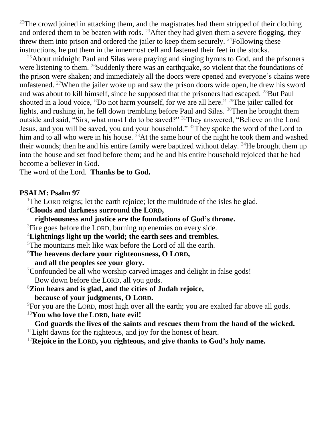<sup>22</sup>The crowd joined in attacking them, and the magistrates had them stripped of their clothing and ordered them to be beaten with rods. <sup>23</sup> After they had given them a severe flogging, they threw them into prison and ordered the jailer to keep them securely.  $^{24}$ Following these instructions, he put them in the innermost cell and fastened their feet in the stocks.

 $^{25}$ About midnight Paul and Silas were praying and singing hymns to God, and the prisoners were listening to them. <sup>26</sup>Suddenly there was an earthquake, so violent that the foundations of the prison were shaken; and immediately all the doors were opened and everyone's chains were unfastened. <sup>27</sup>When the jailer woke up and saw the prison doors wide open, he drew his sword and was about to kill himself, since he supposed that the prisoners had escaped. <sup>28</sup>But Paul shouted in a loud voice, "Do not harm yourself, for we are all here." <sup>29</sup>The jailer called for lights, and rushing in, he fell down trembling before Paul and Silas. <sup>30</sup>Then he brought them outside and said, "Sirs, what must I do to be saved?" <sup>31</sup>They answered, "Believe on the Lord Jesus, and you will be saved, you and your household." <sup>32</sup>They spoke the word of the Lord to him and to all who were in his house. <sup>33</sup>At the same hour of the night he took them and washed their wounds; then he and his entire family were baptized without delay.  $34$ He brought them up into the house and set food before them; and he and his entire household rejoiced that he had become a believer in God.

The word of the Lord. **Thanks be to God.**

#### **PSALM: Psalm 97**

<sup>1</sup>The LORD reigns; let the earth rejoice; let the multitude of the isles be glad.

<sup>2</sup>**Clouds and darkness surround the LORD,**

**righteousness and justice are the foundations of God's throne.**

<sup>3</sup>Fire goes before the LORD, burning up enemies on every side.

<sup>4</sup>**Lightnings light up the world; the earth sees and trembles.**

<sup>5</sup>The mountains melt like wax before the Lord of all the earth.

<sup>6</sup>**The heavens declare your righteousness, O LORD,**

**and all the peoples see your glory.**

<sup>7</sup>Confounded be all who worship carved images and delight in false gods! Bow down before the LORD, all you gods.

<sup>8</sup>**Zion hears and is glad, and the cities of Judah rejoice,**

**because of your judgments, O LORD.**

<sup>9</sup>For you are the LORD, most high over all the earth; you are exalted far above all gods. <sup>10</sup>**You who love the LORD, hate evil!**

**God guards the lives of the saints and rescues them from the hand of the wicked.**  $11$ Light dawns for the righteous, and joy for the honest of heart.

<sup>12</sup>**Rejoice in the LORD, you righteous, and give thanks to God's holy name.**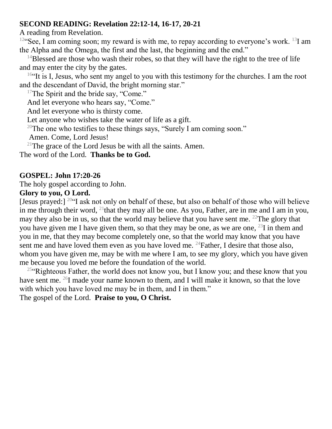#### **SECOND READING: Revelation 22:12-14, 16-17, 20-21**

A reading from Revelation.

<sup>12"</sup>See, I am coming soon; my reward is with me, to repay according to everyone's work. <sup>13</sup>I am the Alpha and the Omega, the first and the last, the beginning and the end."

 $14B$ lessed are those who wash their robes, so that they will have the right to the tree of life and may enter the city by the gates.

 $16$ "It is I, Jesus, who sent my angel to you with this testimony for the churches. I am the root and the descendant of David, the bright morning star."

<sup>17</sup>The Spirit and the bride say, "Come."

And let everyone who hears say, "Come."

And let everyone who is thirsty come.

Let anyone who wishes take the water of life as a gift.

<sup>20</sup>The one who testifies to these things says, "Surely I am coming soon."

Amen. Come, Lord Jesus!

 $21$ The grace of the Lord Jesus be with all the saints. Amen.

The word of the Lord. **Thanks be to God.**

## **GOSPEL: John 17:20-26**

The holy gospel according to John.

#### **Glory to you, O Lord.**

[Jesus prayed:]  $20$ "I ask not only on behalf of these, but also on behalf of those who will believe in me through their word, <sup>21</sup>that they may all be one. As you, Father, are in me and I am in you, may they also be in us, so that the world may believe that you have sent me. <sup>22</sup>The glory that you have given me I have given them, so that they may be one, as we are one,  $^{23}$ I in them and you in me, that they may become completely one, so that the world may know that you have sent me and have loved them even as you have loved me. <sup>24</sup>Father, I desire that those also, whom you have given me, may be with me where I am, to see my glory, which you have given me because you loved me before the foundation of the world.

<sup>25"</sup>Righteous Father, the world does not know you, but I know you; and these know that you have sent me. <sup>26</sup>I made your name known to them, and I will make it known, so that the love with which you have loved me may be in them, and I in them."

The gospel of the Lord. **Praise to you, O Christ.**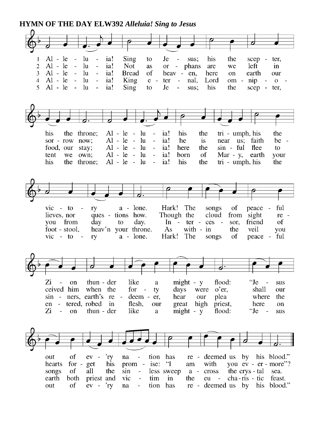#### **HYMN OF THE DAY ELW392** *Alleluia! Sing to Jesus*

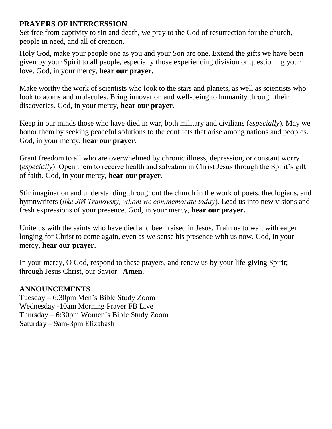## **PRAYERS OF INTERCESSION**

Set free from captivity to sin and death, we pray to the God of resurrection for the church, people in need, and all of creation.

Holy God, make your people one as you and your Son are one. Extend the gifts we have been given by your Spirit to all people, especially those experiencing division or questioning your love. God, in your mercy, **hear our prayer.**

Make worthy the work of scientists who look to the stars and planets, as well as scientists who look to atoms and molecules. Bring innovation and well-being to humanity through their discoveries. God, in your mercy, **hear our prayer.**

Keep in our minds those who have died in war, both military and civilians (*especially*). May we honor them by seeking peaceful solutions to the conflicts that arise among nations and peoples. God, in your mercy, **hear our prayer.**

Grant freedom to all who are overwhelmed by chronic illness, depression, or constant worry (*especially*). Open them to receive health and salvation in Christ Jesus through the Spirit's gift of faith. God, in your mercy, **hear our prayer.**

Stir imagination and understanding throughout the church in the work of poets, theologians, and hymnwriters (*like Jiřī Tranovský, whom we commemorate today*). Lead us into new visions and fresh expressions of your presence. God, in your mercy, **hear our prayer.**

Unite us with the saints who have died and been raised in Jesus. Train us to wait with eager longing for Christ to come again, even as we sense his presence with us now. God, in your mercy, **hear our prayer.**

In your mercy, O God, respond to these prayers, and renew us by your life-giving Spirit; through Jesus Christ, our Savior. **Amen.**

## **ANNOUNCEMENTS**

Tuesday – 6:30pm Men's Bible Study Zoom Wednesday -10am Morning Prayer FB Live Thursday – 6:30pm Women's Bible Study Zoom Saturday – 9am-3pm Elizabash